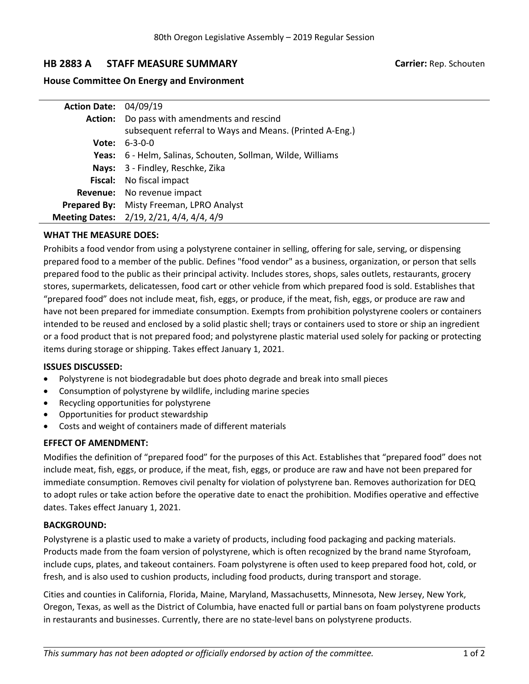# **HB 2883 A STAFF MEASURE SUMMARY Carrier:** Rep. Schouten

## **House Committee On Energy and Environment**

| <b>Action Date: 04/09/19</b> |                                                             |
|------------------------------|-------------------------------------------------------------|
|                              | Action: Do pass with amendments and rescind                 |
|                              | subsequent referral to Ways and Means. (Printed A-Eng.)     |
|                              | <b>Vote:</b> $6-3-0-0$                                      |
|                              | Yeas: 6 - Helm, Salinas, Schouten, Sollman, Wilde, Williams |
|                              | Nays: 3 - Findley, Reschke, Zika                            |
|                              | Fiscal: No fiscal impact                                    |
|                              | <b>Revenue:</b> No revenue impact                           |
|                              | Prepared By: Misty Freeman, LPRO Analyst                    |
|                              | Meeting Dates: 2/19, 2/21, 4/4, 4/4, 4/9                    |

### **WHAT THE MEASURE DOES:**

Prohibits <sup>a</sup> food vendor from using <sup>a</sup> polystyrene container in selling, offering for sale, serving, or dispensing prepared food to <sup>a</sup> member of the public. Defines "food vendor" as <sup>a</sup> business, organization, or person that sells prepared food to the public as their principal activity. Includes stores, shops, sales outlets, restaurants, grocery stores, supermarkets, delicatessen, food cart or other vehicle from which prepared food is sold. Establishes that "prepared food" does not include meat, fish, eggs, or produce, if the meat, fish, eggs, or produce are raw and have not been prepared for immediate consumption. Exempts from prohibition polystyrene coolers or containers intended to be reused and enclosed by <sup>a</sup> solid plastic shell; trays or containers used to store or ship an ingredient or <sup>a</sup> food product that is not prepared food; and polystyrene plastic material used solely for packing or protecting items during storage or shipping. Takes effect January 1, 2021.

#### **ISSUES DISCUSSED:**

- $\bullet$ Polystyrene is not biodegradable but does photo degrade and break into small pieces
- . Consumption of polystyrene by wildlife, including marine species
- . Recycling opportunities for polystyrene
- . Opportunities for product stewardship
- . Costs and weight of containers made of different materials

## **EFFECT OF AMENDMENT:**

Modifies the definition of "prepared food" for the purposes of this Act. Establishes that "prepared food" does not include meat, fish, eggs, or produce, if the meat, fish, eggs, or produce are raw and have not been prepared for immediate consumption. Removes civil penalty for violation of polystyrene ban. Removes authorization for DEQ to adopt rules or take action before the operative date to enact the prohibition. Modifies operative and effective dates. Takes effect January 1, 2021.

#### **BACKGROUND:**

Polystyrene is <sup>a</sup> plastic used to make <sup>a</sup> variety of products, including food packaging and packing materials. Products made from the foam version of polystyrene, which is often recognized by the brand name Styrofoam, include cups, plates, and takeout containers. Foam polystyrene is often used to keep prepared food hot, cold, or fresh, and is also used to cushion products, including food products, during transport and storage.

Cities and counties in California, Florida, Maine, Maryland, Massachusetts, Minnesota, New Jersey, New York, Oregon, Texas, as well as the District of Columbia, have enacted full or partial bans on foam polystyrene products in restaurants and businesses. Currently, there are no state-level bans on polystyrene products.